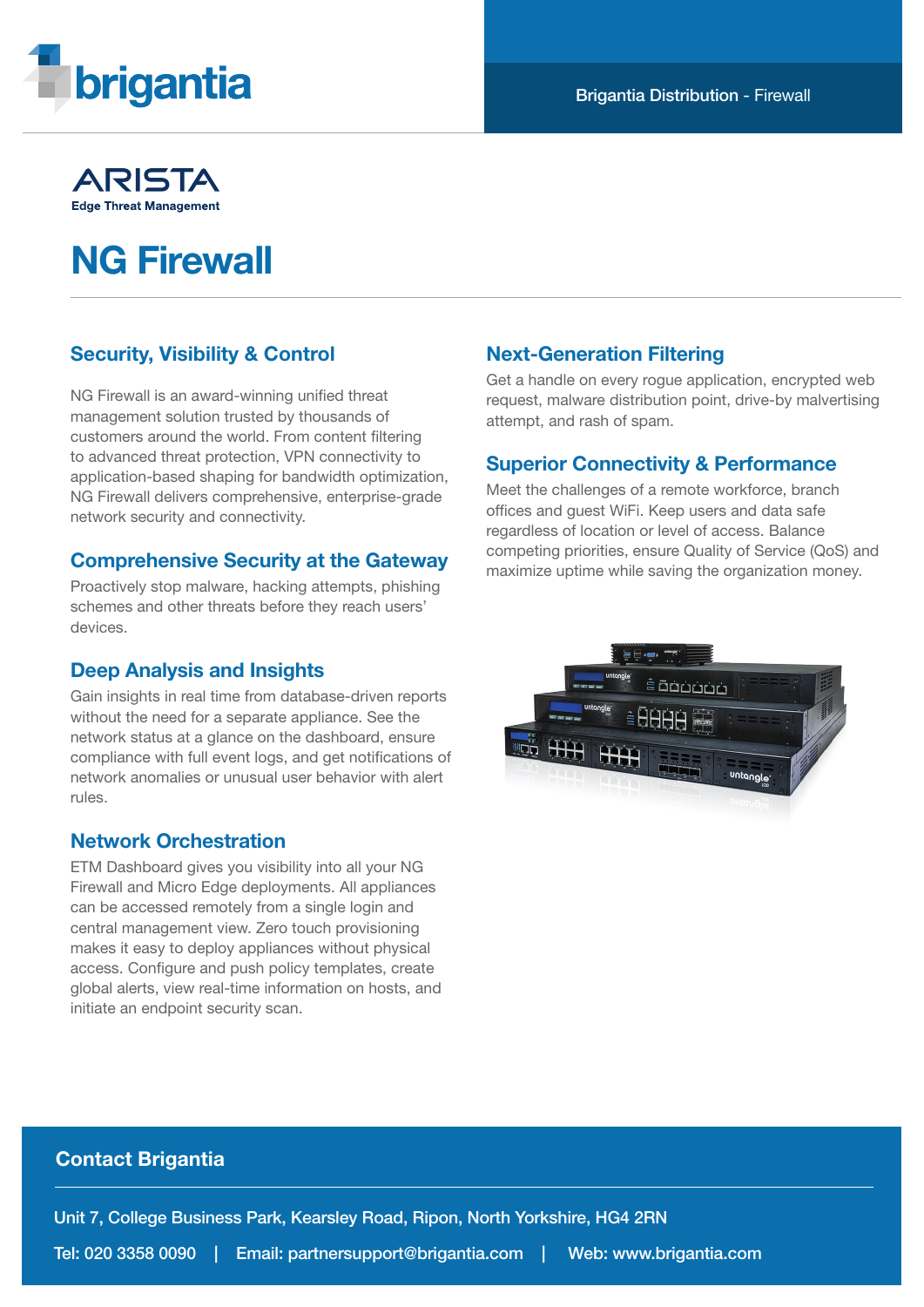

# ARISTA **Edge Threat Management**

# NG Firewall

# Security, Visibility & Control

NG Firewall is an award-winning unified threat management solution trusted by thousands of customers around the world. From content filtering to advanced threat protection, VPN connectivity to application-based shaping for bandwidth optimization, NG Firewall delivers comprehensive, enterprise-grade network security and connectivity.

### Comprehensive Security at the Gateway

Proactively stop malware, hacking attempts, phishing schemes and other threats before they reach users' devices.

### Deep Analysis and Insights

Gain insights in real time from database-driven reports without the need for a separate appliance. See the network status at a glance on the dashboard, ensure compliance with full event logs, and get notifications of network anomalies or unusual user behavior with alert rules.

### Network Orchestration

ETM Dashboard gives you visibility into all your NG Firewall and Micro Edge deployments. All appliances can be accessed remotely from a single login and central management view. Zero touch provisioning makes it easy to deploy appliances without physical access. Configure and push policy templates, create global alerts, view real-time information on hosts, and initiate an endpoint security scan.

### Next-Generation Filtering

Get a handle on every rogue application, encrypted web request, malware distribution point, drive-by malvertising attempt, and rash of spam.

### Superior Connectivity & Performance

Meet the challenges of a remote workforce, branch offices and guest WiFi. Keep users and data safe regardless of location or level of access. Balance competing priorities, ensure Quality of Service (QoS) and maximize uptime while saving the organization money.



### Contact Brigantia

Unit 7, College Business Park, Kearsley Road, Ripon, North Yorkshire, HG4 2RN